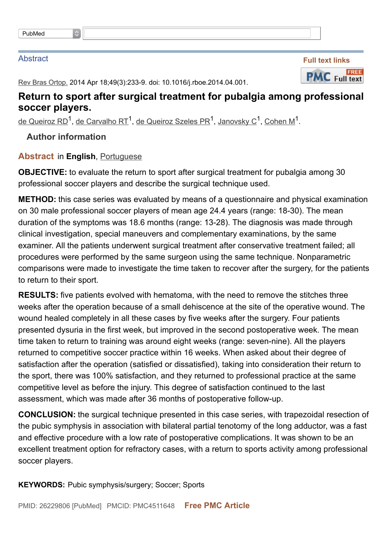## Abstract



Rev Bras Ortop. 2014 Apr 18;49(3):233-9. doi: 10.1016/j.rboe.2014.04.001.

## **Return to sport after surgical treatment for pubalgia among professional soccer players.**

<u>de [Queiroz](http://www.ncbi.nlm.nih.gov/pubmed/?term=de%20Queiroz%20Szeles%20PR%5BAuthor%5D&cauthor=true&cauthor_uid=26229806) RD<sup>1</sup>, de [Carvalho](http://www.ncbi.nlm.nih.gov/pubmed/?term=de%20Carvalho%20RT%5BAuthor%5D&cauthor=true&cauthor_uid=26229806) RT<sup>1</sup>, de Queiroz Szeles PR<sup>1</sup>, [Janovsky](http://www.ncbi.nlm.nih.gov/pubmed/?term=Janovsky%20C%5BAuthor%5D&cauthor=true&cauthor_uid=26229806) C<sup>1</sup>, <u>[Cohen](http://www.ncbi.nlm.nih.gov/pubmed/?term=Cohen%20M%5BAuthor%5D&cauthor=true&cauthor_uid=26229806) M</u><sup>1</sup>.</u>

**Author information**

## **Abstract** in **English**, Portuguese

**OBJECTIVE:** to evaluate the return to sport after surgical treatment for pubalgia among 30 professional soccer players and describe the surgical technique used.

**METHOD:** this case series was evaluated by means of a questionnaire and physical examination on 30 male professional soccer players of mean age 24.4 years (range: 18-30). The mean duration of the symptoms was 18.6 months (range: 13-28). The diagnosis was made through clinical investigation, special maneuvers and complementary examinations, by the same examiner. All the patients underwent surgical treatment after conservative treatment failed; all procedures were performed by the same surgeon using the same technique. Nonparametric comparisons were made to investigate the time taken to recover after the surgery, for the patients to return to their sport.

**RESULTS:** five patients evolved with hematoma, with the need to remove the stitches three weeks after the operation because of a small dehiscence at the site of the operative wound. The wound healed completely in all these cases by five weeks after the surgery. Four patients presented dysuria in the first week, but improved in the second postoperative week. The mean time taken to return to training was around eight weeks (range: seven-nine). All the players returned to competitive soccer practice within 16 weeks. When asked about their degree of satisfaction after the operation (satisfied or dissatisfied), taking into consideration their return to the sport, there was 100% satisfaction, and they returned to professional practice at the same competitive level as before the injury. This degree of satisfaction continued to the last assessment, which was made after 36 months of postoperative follow-up.

**CONCLUSION:** the surgical technique presented in this case series, with trapezoidal resection of the pubic symphysis in association with bilateral partial tenotomy of the long adductor, was a fast and effective procedure with a low rate of postoperative complications. It was shown to be an excellent treatment option for refractory cases, with a return to sports activity among professional soccer players.

**KEYWORDS:** Pubic symphysis/surgery; Soccer; Sports